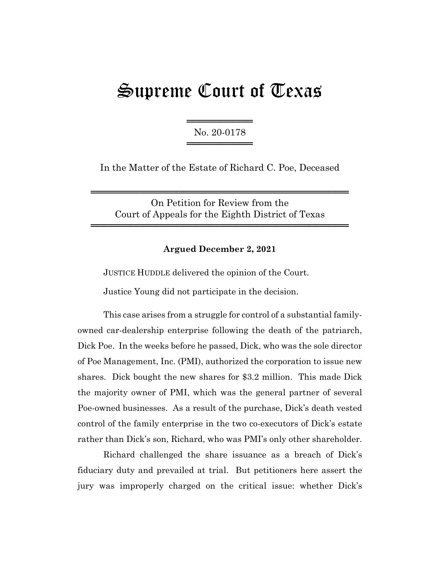# Supreme Court of Texas

════════════════════ No. 20-0178 ════════════════════

In the Matter of the Estate of Richard C. Poe, Deceased

On Petition for Review from the Court of Appeals for the Eighth District of Texas

═══════════════════════════════════════

═══════════════════════════════════════

## **Argued December 2, 2021**

JUSTICE HUDDLE delivered the opinion of the Court.

Justice Young did not participate in the decision.

This case arises from a struggle for control of a substantial familyowned car-dealership enterprise following the death of the patriarch, Dick Poe. In the weeks before he passed, Dick, who was the sole director of Poe Management, Inc. (PMI), authorized the corporation to issue new shares. Dick bought the new shares for \$3.2 million. This made Dick the majority owner of PMI, which was the general partner of several Poe-owned businesses. As a result of the purchase, Dick's death vested control of the family enterprise in the two co-executors of Dick's estate rather than Dick's son, Richard, who was PMI's only other shareholder.

Richard challenged the share issuance as a breach of Dick's fiduciary duty and prevailed at trial. But petitioners here assert the jury was improperly charged on the critical issue: whether Dick's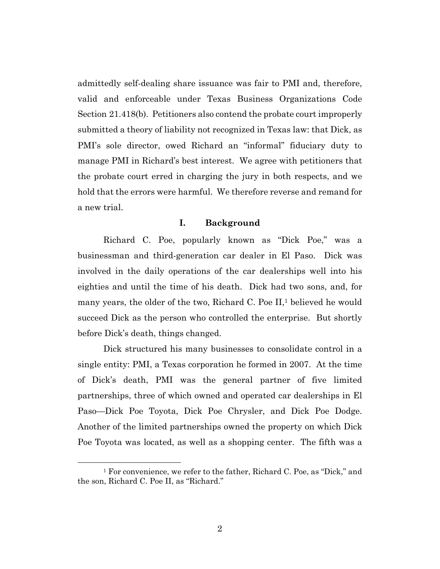admittedly self-dealing share issuance was fair to PMI and, therefore, valid and enforceable under Texas Business Organizations Code Section 21.418(b). Petitioners also contend the probate court improperly submitted a theory of liability not recognized in Texas law: that Dick, as PMI's sole director, owed Richard an "informal" fiduciary duty to manage PMI in Richard's best interest. We agree with petitioners that the probate court erred in charging the jury in both respects, and we hold that the errors were harmful. We therefore reverse and remand for a new trial.

## **I. Background**

Richard C. Poe, popularly known as "Dick Poe," was a businessman and third-generation car dealer in El Paso. Dick was involved in the daily operations of the car dealerships well into his eighties and until the time of his death. Dick had two sons, and, for many years, the older of the two, Richard C. Poe II,<sup>1</sup> believed he would succeed Dick as the person who controlled the enterprise. But shortly before Dick's death, things changed.

Dick structured his many businesses to consolidate control in a single entity: PMI, a Texas corporation he formed in 2007. At the time of Dick's death, PMI was the general partner of five limited partnerships, three of which owned and operated car dealerships in El Paso—Dick Poe Toyota, Dick Poe Chrysler, and Dick Poe Dodge. Another of the limited partnerships owned the property on which Dick Poe Toyota was located, as well as a shopping center. The fifth was a

<sup>&</sup>lt;sup>1</sup> For convenience, we refer to the father, Richard C. Poe, as "Dick," and the son, Richard C. Poe II, as "Richard."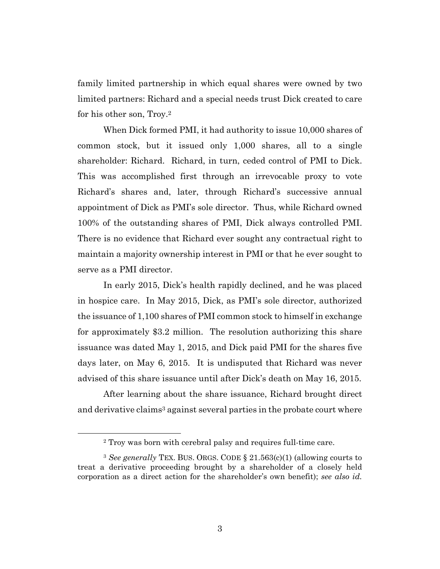family limited partnership in which equal shares were owned by two limited partners: Richard and a special needs trust Dick created to care for his other son, Troy.2

When Dick formed PMI, it had authority to issue 10,000 shares of common stock, but it issued only 1,000 shares, all to a single shareholder: Richard. Richard, in turn, ceded control of PMI to Dick. This was accomplished first through an irrevocable proxy to vote Richard's shares and, later, through Richard's successive annual appointment of Dick as PMI's sole director. Thus, while Richard owned 100% of the outstanding shares of PMI, Dick always controlled PMI. There is no evidence that Richard ever sought any contractual right to maintain a majority ownership interest in PMI or that he ever sought to serve as a PMI director.

In early 2015, Dick's health rapidly declined, and he was placed in hospice care. In May 2015, Dick, as PMI's sole director, authorized the issuance of 1,100 shares of PMI common stock to himself in exchange for approximately \$3.2 million. The resolution authorizing this share issuance was dated May 1, 2015, and Dick paid PMI for the shares five days later, on May 6, 2015. It is undisputed that Richard was never advised of this share issuance until after Dick's death on May 16, 2015.

After learning about the share issuance, Richard brought direct and derivative claims<sup>3</sup> against several parties in the probate court where

<sup>2</sup> Troy was born with cerebral palsy and requires full-time care.

<sup>3</sup> *See generally* TEX. BUS. ORGS. CODE § 21.563(c)(1) (allowing courts to treat a derivative proceeding brought by a shareholder of a closely held corporation as a direct action for the shareholder's own benefit); *see also id.*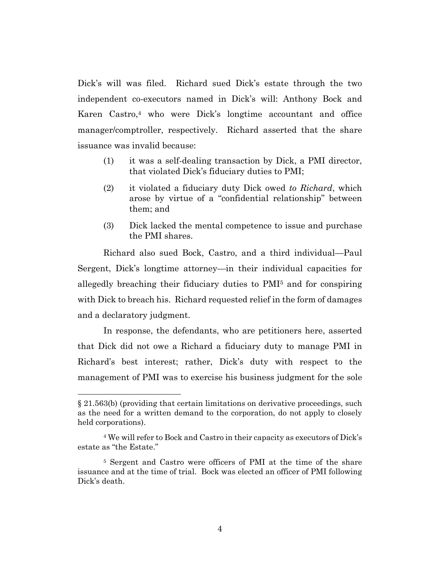Dick's will was filed. Richard sued Dick's estate through the two independent co-executors named in Dick's will: Anthony Bock and Karen Castro,4 who were Dick's longtime accountant and office manager/comptroller, respectively. Richard asserted that the share issuance was invalid because:

- (1) it was a self-dealing transaction by Dick, a PMI director, that violated Dick's fiduciary duties to PMI;
- (2) it violated a fiduciary duty Dick owed *to Richard*, which arose by virtue of a "confidential relationship" between them; and
- (3) Dick lacked the mental competence to issue and purchase the PMI shares.

Richard also sued Bock, Castro, and a third individual—Paul Sergent, Dick's longtime attorney—in their individual capacities for allegedly breaching their fiduciary duties to PMI5 and for conspiring with Dick to breach his. Richard requested relief in the form of damages and a declaratory judgment.

In response, the defendants, who are petitioners here, asserted that Dick did not owe a Richard a fiduciary duty to manage PMI in Richard's best interest; rather, Dick's duty with respect to the management of PMI was to exercise his business judgment for the sole

<sup>§ 21.563(</sup>b) (providing that certain limitations on derivative proceedings, such as the need for a written demand to the corporation, do not apply to closely held corporations).

<sup>4</sup> We will refer to Bock and Castro in their capacity as executors of Dick's estate as "the Estate."

<sup>5</sup> Sergent and Castro were officers of PMI at the time of the share issuance and at the time of trial. Bock was elected an officer of PMI following Dick's death.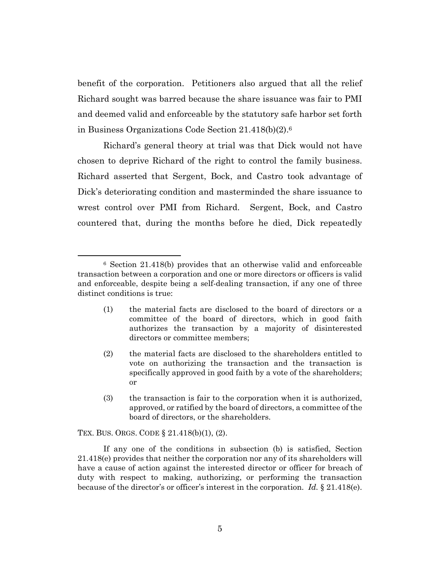benefit of the corporation. Petitioners also argued that all the relief Richard sought was barred because the share issuance was fair to PMI and deemed valid and enforceable by the statutory safe harbor set forth in Business Organizations Code Section 21.418(b)(2).6

Richard's general theory at trial was that Dick would not have chosen to deprive Richard of the right to control the family business. Richard asserted that Sergent, Bock, and Castro took advantage of Dick's deteriorating condition and masterminded the share issuance to wrest control over PMI from Richard. Sergent, Bock, and Castro countered that, during the months before he died, Dick repeatedly

- (1) the material facts are disclosed to the board of directors or a committee of the board of directors, which in good faith authorizes the transaction by a majority of disinterested directors or committee members;
- (2) the material facts are disclosed to the shareholders entitled to vote on authorizing the transaction and the transaction is specifically approved in good faith by a vote of the shareholders; or
- (3) the transaction is fair to the corporation when it is authorized, approved, or ratified by the board of directors, a committee of the board of directors, or the shareholders.

TEX. BUS. ORGS. CODE § 21.418(b)(1), (2).

If any one of the conditions in subsection (b) is satisfied, Section 21.418(e) provides that neither the corporation nor any of its shareholders will have a cause of action against the interested director or officer for breach of duty with respect to making, authorizing, or performing the transaction because of the director's or officer's interest in the corporation. *Id.* § 21.418(e).

<sup>6</sup> Section 21.418(b) provides that an otherwise valid and enforceable transaction between a corporation and one or more directors or officers is valid and enforceable, despite being a self-dealing transaction, if any one of three distinct conditions is true: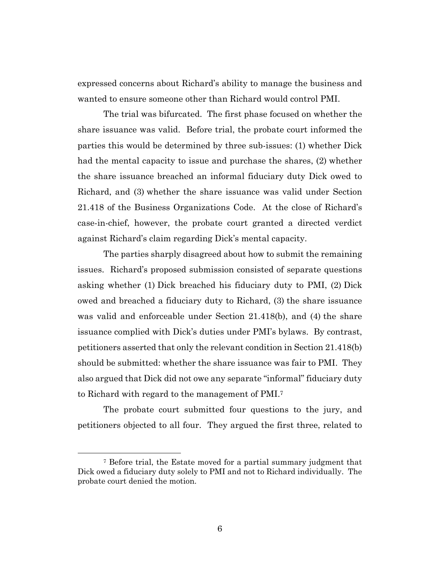expressed concerns about Richard's ability to manage the business and wanted to ensure someone other than Richard would control PMI.

The trial was bifurcated. The first phase focused on whether the share issuance was valid. Before trial, the probate court informed the parties this would be determined by three sub-issues: (1) whether Dick had the mental capacity to issue and purchase the shares, (2) whether the share issuance breached an informal fiduciary duty Dick owed to Richard, and (3) whether the share issuance was valid under Section 21.418 of the Business Organizations Code. At the close of Richard's case-in-chief, however, the probate court granted a directed verdict against Richard's claim regarding Dick's mental capacity.

The parties sharply disagreed about how to submit the remaining issues. Richard's proposed submission consisted of separate questions asking whether (1) Dick breached his fiduciary duty to PMI, (2) Dick owed and breached a fiduciary duty to Richard, (3) the share issuance was valid and enforceable under Section 21.418(b), and (4) the share issuance complied with Dick's duties under PMI's bylaws. By contrast, petitioners asserted that only the relevant condition in Section 21.418(b) should be submitted: whether the share issuance was fair to PMI. They also argued that Dick did not owe any separate "informal" fiduciary duty to Richard with regard to the management of PMI.7

The probate court submitted four questions to the jury, and petitioners objected to all four. They argued the first three, related to

<sup>7</sup> Before trial, the Estate moved for a partial summary judgment that Dick owed a fiduciary duty solely to PMI and not to Richard individually. The probate court denied the motion.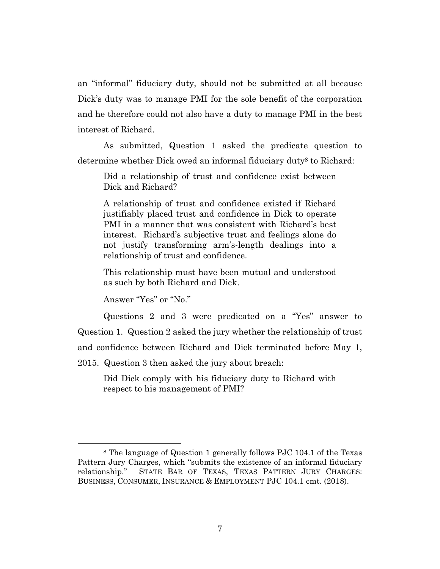an "informal" fiduciary duty, should not be submitted at all because Dick's duty was to manage PMI for the sole benefit of the corporation and he therefore could not also have a duty to manage PMI in the best interest of Richard.

As submitted, Question 1 asked the predicate question to determine whether Dick owed an informal fiduciary duty<sup>8</sup> to Richard:

Did a relationship of trust and confidence exist between Dick and Richard?

A relationship of trust and confidence existed if Richard justifiably placed trust and confidence in Dick to operate PMI in a manner that was consistent with Richard's best interest. Richard's subjective trust and feelings alone do not justify transforming arm's-length dealings into a relationship of trust and confidence.

This relationship must have been mutual and understood as such by both Richard and Dick.

Answer "Yes" or "No."

Questions 2 and 3 were predicated on a "Yes" answer to Question 1. Question 2 asked the jury whether the relationship of trust and confidence between Richard and Dick terminated before May 1,

2015. Question 3 then asked the jury about breach:

Did Dick comply with his fiduciary duty to Richard with respect to his management of PMI?

<sup>8</sup> The language of Question 1 generally follows PJC 104.1 of the Texas Pattern Jury Charges, which "submits the existence of an informal fiduciary relationship." STATE BAR OF TEXAS, TEXAS PATTERN JURY CHARGES: BUSINESS, CONSUMER, INSURANCE & EMPLOYMENT PJC 104.1 cmt. (2018).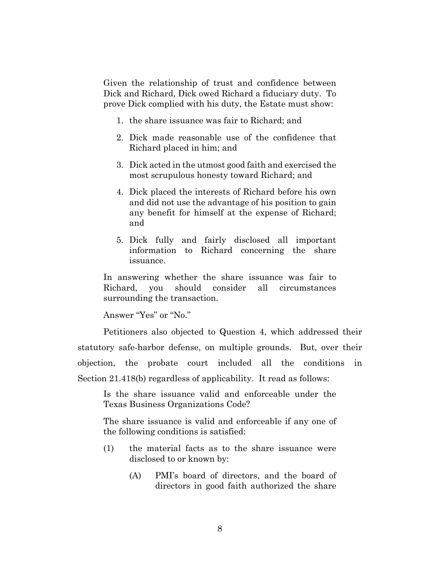Given the relationship of trust and confidence between Dick and Richard, Dick owed Richard a fiduciary duty. To prove Dick complied with his duty, the Estate must show:

- 1. the share issuance was fair to Richard; and
- 2. Dick made reasonable use of the confidence that Richard placed in him; and
- 3. Dick acted in the utmost good faith and exercised the most scrupulous honesty toward Richard; and
- 4. Dick placed the interests of Richard before his own and did not use the advantage of his position to gain any benefit for himself at the expense of Richard; and
- 5. Dick fully and fairly disclosed all important information to Richard concerning the share issuance.

In answering whether the share issuance was fair to Richard, you should consider all circumstances surrounding the transaction.

Answer "Yes" or "No."

Petitioners also objected to Question 4, which addressed their statutory safe-harbor defense, on multiple grounds. But, over their objection, the probate court included all the conditions in Section 21.418(b) regardless of applicability. It read as follows:

Is the share issuance valid and enforceable under the Texas Business Organizations Code?

The share issuance is valid and enforceable if any one of the following conditions is satisfied:

- (1) the material facts as to the share issuance were disclosed to or known by:
	- (A) PMI's board of directors, and the board of directors in good faith authorized the share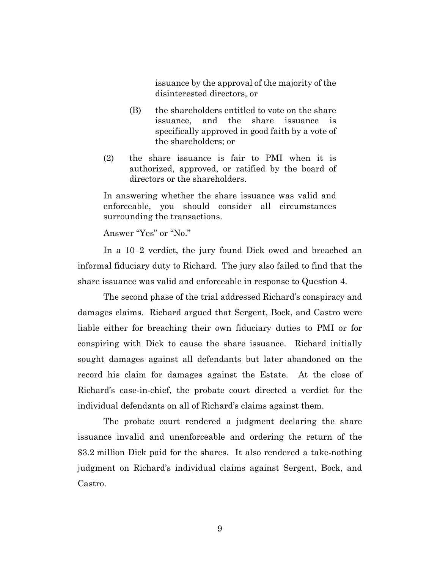issuance by the approval of the majority of the disinterested directors, or

- (B) the shareholders entitled to vote on the share issuance, and the share issuance is specifically approved in good faith by a vote of the shareholders; or
- (2) the share issuance is fair to PMI when it is authorized, approved, or ratified by the board of directors or the shareholders.

In answering whether the share issuance was valid and enforceable, you should consider all circumstances surrounding the transactions.

Answer "Yes" or "No."

In a 10–2 verdict, the jury found Dick owed and breached an informal fiduciary duty to Richard. The jury also failed to find that the share issuance was valid and enforceable in response to Question 4.

The second phase of the trial addressed Richard's conspiracy and damages claims. Richard argued that Sergent, Bock, and Castro were liable either for breaching their own fiduciary duties to PMI or for conspiring with Dick to cause the share issuance. Richard initially sought damages against all defendants but later abandoned on the record his claim for damages against the Estate. At the close of Richard's case-in-chief, the probate court directed a verdict for the individual defendants on all of Richard's claims against them.

The probate court rendered a judgment declaring the share issuance invalid and unenforceable and ordering the return of the \$3.2 million Dick paid for the shares. It also rendered a take-nothing judgment on Richard's individual claims against Sergent, Bock, and Castro.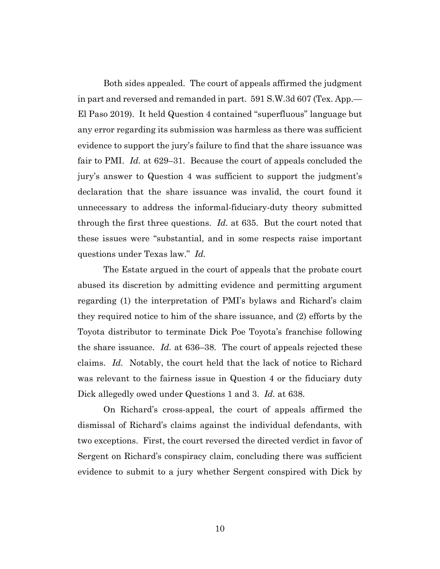Both sides appealed. The court of appeals affirmed the judgment in part and reversed and remanded in part. 591 S.W.3d 607 (Tex. App.— El Paso 2019). It held Question 4 contained "superfluous" language but any error regarding its submission was harmless as there was sufficient evidence to support the jury's failure to find that the share issuance was fair to PMI. *Id.* at 629–31. Because the court of appeals concluded the jury's answer to Question 4 was sufficient to support the judgment's declaration that the share issuance was invalid, the court found it unnecessary to address the informal-fiduciary-duty theory submitted through the first three questions. *Id.* at 635. But the court noted that these issues were "substantial, and in some respects raise important questions under Texas law." *Id.*

The Estate argued in the court of appeals that the probate court abused its discretion by admitting evidence and permitting argument regarding (1) the interpretation of PMI's bylaws and Richard's claim they required notice to him of the share issuance, and (2) efforts by the Toyota distributor to terminate Dick Poe Toyota's franchise following the share issuance. *Id.* at 636–38. The court of appeals rejected these claims. *Id.* Notably, the court held that the lack of notice to Richard was relevant to the fairness issue in Question 4 or the fiduciary duty Dick allegedly owed under Questions 1 and 3. *Id.* at 638.

On Richard's cross-appeal, the court of appeals affirmed the dismissal of Richard's claims against the individual defendants, with two exceptions. First, the court reversed the directed verdict in favor of Sergent on Richard's conspiracy claim, concluding there was sufficient evidence to submit to a jury whether Sergent conspired with Dick by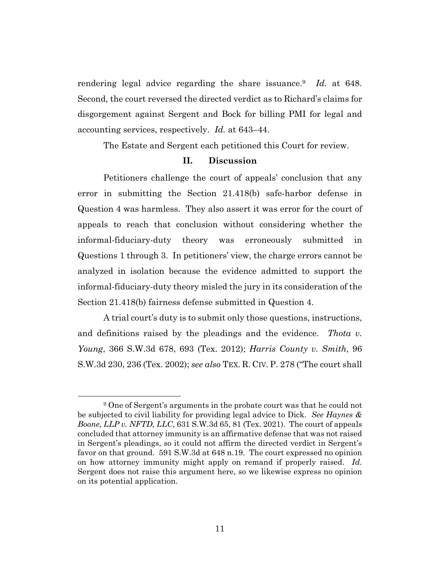rendering legal advice regarding the share issuance.9 *Id.* at 648. Second, the court reversed the directed verdict as to Richard's claims for disgorgement against Sergent and Bock for billing PMI for legal and accounting services, respectively. *Id.* at 643–44.

The Estate and Sergent each petitioned this Court for review.

#### **II. Discussion**

Petitioners challenge the court of appeals' conclusion that any error in submitting the Section 21.418(b) safe-harbor defense in Question 4 was harmless. They also assert it was error for the court of appeals to reach that conclusion without considering whether the informal-fiduciary-duty theory was erroneously submitted in Questions 1 through 3. In petitioners' view, the charge errors cannot be analyzed in isolation because the evidence admitted to support the informal-fiduciary-duty theory misled the jury in its consideration of the Section 21.418(b) fairness defense submitted in Question 4.

A trial court's duty is to submit only those questions, instructions, and definitions raised by the pleadings and the evidence. *Thota v. Young*, 366 S.W.3d 678, 693 (Tex. 2012); *Harris County v. Smith*, 96 S.W.3d 230, 236 (Tex. 2002); *see also* TEX. R. CIV. P. 278 ("The court shall

<sup>9</sup> One of Sergent's arguments in the probate court was that he could not be subjected to civil liability for providing legal advice to Dick. *See Haynes & Boone, LLP v. NFTD, LLC*, 631 S.W.3d 65, 81 (Tex. 2021). The court of appeals concluded that attorney immunity is an affirmative defense that was not raised in Sergent's pleadings, so it could not affirm the directed verdict in Sergent's favor on that ground. 591 S.W.3d at 648 n.19. The court expressed no opinion on how attorney immunity might apply on remand if properly raised. *Id.* Sergent does not raise this argument here, so we likewise express no opinion on its potential application.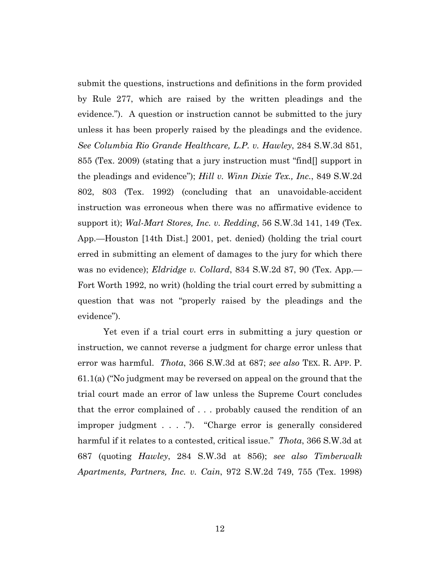submit the questions, instructions and definitions in the form provided by Rule 277, which are raised by the written pleadings and the evidence."). A question or instruction cannot be submitted to the jury unless it has been properly raised by the pleadings and the evidence. *See Columbia Rio Grande Healthcare, L.P. v. Hawley*, 284 S.W.3d 851, 855 (Tex. 2009) (stating that a jury instruction must "find[] support in the pleadings and evidence"); *Hill v. Winn Dixie Tex., Inc.*, 849 S.W.2d 802, 803 (Tex. 1992) (concluding that an unavoidable-accident instruction was erroneous when there was no affirmative evidence to support it); *Wal-Mart Stores, Inc. v. Redding*, 56 S.W.3d 141, 149 (Tex. App.—Houston [14th Dist.] 2001, pet. denied) (holding the trial court erred in submitting an element of damages to the jury for which there was no evidence); *Eldridge v. Collard*, 834 S.W.2d 87, 90 (Tex. App.— Fort Worth 1992, no writ) (holding the trial court erred by submitting a question that was not "properly raised by the pleadings and the evidence").

Yet even if a trial court errs in submitting a jury question or instruction, we cannot reverse a judgment for charge error unless that error was harmful. *Thota*, 366 S.W.3d at 687; *see also* TEX. R. APP. P. 61.1(a) ("No judgment may be reversed on appeal on the ground that the trial court made an error of law unless the Supreme Court concludes that the error complained of . . . probably caused the rendition of an improper judgment . . . ."). "Charge error is generally considered harmful if it relates to a contested, critical issue." *Thota*, 366 S.W.3d at 687 (quoting *Hawley*, 284 S.W.3d at 856); *see also Timberwalk Apartments, Partners, Inc. v. Cain*, 972 S.W.2d 749, 755 (Tex. 1998)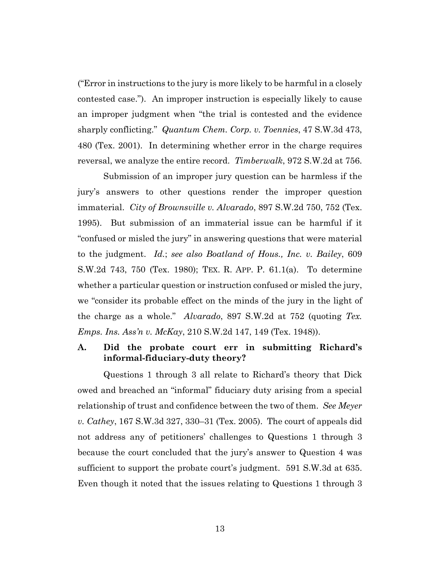("Error in instructions to the jury is more likely to be harmful in a closely contested case."). An improper instruction is especially likely to cause an improper judgment when "the trial is contested and the evidence sharply conflicting." *Quantum Chem. Corp. v. Toennies*, 47 S.W.3d 473, 480 (Tex. 2001). In determining whether error in the charge requires reversal, we analyze the entire record. *Timberwalk*, 972 S.W.2d at 756.

Submission of an improper jury question can be harmless if the jury's answers to other questions render the improper question immaterial. *City of Brownsville v. Alvarado*, 897 S.W.2d 750, 752 (Tex. 1995). But submission of an immaterial issue can be harmful if it "confused or misled the jury" in answering questions that were material to the judgment. *Id.*; *see also Boatland of Hous., Inc. v. Bailey*, 609 S.W.2d 743, 750 (Tex. 1980); TEX. R. APP. P. 61.1(a). To determine whether a particular question or instruction confused or misled the jury, we "consider its probable effect on the minds of the jury in the light of the charge as a whole." *Alvarado*, 897 S.W.2d at 752 (quoting *Tex. Emps. Ins. Ass'n v. McKay*, 210 S.W.2d 147, 149 (Tex. 1948)).

## **A. Did the probate court err in submitting Richard's informal-fiduciary-duty theory?**

Questions 1 through 3 all relate to Richard's theory that Dick owed and breached an "informal" fiduciary duty arising from a special relationship of trust and confidence between the two of them. *See Meyer v. Cathey*, 167 S.W.3d 327, 330–31 (Tex. 2005). The court of appeals did not address any of petitioners' challenges to Questions 1 through 3 because the court concluded that the jury's answer to Question 4 was sufficient to support the probate court's judgment. 591 S.W.3d at 635. Even though it noted that the issues relating to Questions 1 through 3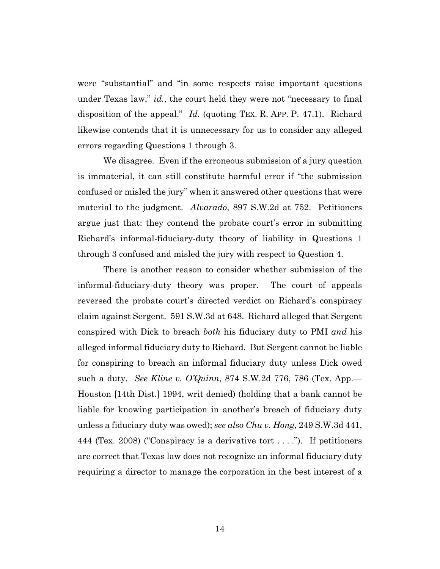were "substantial" and "in some respects raise important questions under Texas law," *id.*, the court held they were not "necessary to final disposition of the appeal." *Id.* (quoting TEX. R. APP. P. 47.1). Richard likewise contends that it is unnecessary for us to consider any alleged errors regarding Questions 1 through 3.

We disagree. Even if the erroneous submission of a jury question is immaterial, it can still constitute harmful error if "the submission confused or misled the jury" when it answered other questions that were material to the judgment. *Alvarado*, 897 S.W.2d at 752. Petitioners argue just that: they contend the probate court's error in submitting Richard's informal-fiduciary-duty theory of liability in Questions 1 through 3 confused and misled the jury with respect to Question 4.

There is another reason to consider whether submission of the informal-fiduciary-duty theory was proper. The court of appeals reversed the probate court's directed verdict on Richard's conspiracy claim against Sergent. 591 S.W.3d at 648. Richard alleged that Sergent conspired with Dick to breach *both* his fiduciary duty to PMI *and* his alleged informal fiduciary duty to Richard. But Sergent cannot be liable for conspiring to breach an informal fiduciary duty unless Dick owed such a duty. *See Kline v. O'Quinn*, 874 S.W.2d 776, 786 (Tex. App.— Houston [14th Dist.] 1994, writ denied) (holding that a bank cannot be liable for knowing participation in another's breach of fiduciary duty unless a fiduciary duty was owed); *see also Chu v. Hong*, 249 S.W.3d 441, 444 (Tex. 2008) ("Conspiracy is a derivative tort . . . ."). If petitioners are correct that Texas law does not recognize an informal fiduciary duty requiring a director to manage the corporation in the best interest of a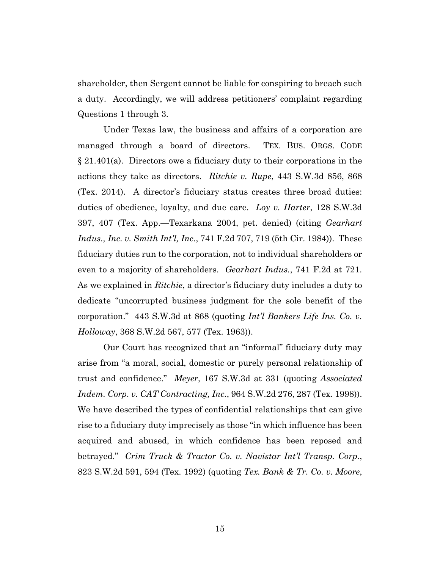shareholder, then Sergent cannot be liable for conspiring to breach such a duty. Accordingly, we will address petitioners' complaint regarding Questions 1 through 3.

Under Texas law, the business and affairs of a corporation are managed through a board of directors. TEX. BUS. ORGS. CODE § 21.401(a). Directors owe a fiduciary duty to their corporations in the actions they take as directors. *Ritchie v. Rupe*, 443 S.W.3d 856, 868 (Tex. 2014). A director's fiduciary status creates three broad duties: duties of obedience, loyalty, and due care. *Loy v. Harter*, 128 S.W.3d 397, 407 (Tex. App.—Texarkana 2004, pet. denied) (citing *Gearhart Indus., Inc. v. Smith Int'l, Inc.*, 741 F.2d 707, 719 (5th Cir. 1984)). These fiduciary duties run to the corporation, not to individual shareholders or even to a majority of shareholders. *Gearhart Indus.*, 741 F.2d at 721. As we explained in *Ritchie*, a director's fiduciary duty includes a duty to dedicate "uncorrupted business judgment for the sole benefit of the corporation." 443 S.W.3d at 868 (quoting *Int'l Bankers Life Ins. Co. v. Holloway*, 368 S.W.2d 567, 577 (Tex. 1963)).

Our Court has recognized that an "informal" fiduciary duty may arise from "a moral, social, domestic or purely personal relationship of trust and confidence." *Meyer*, 167 S.W.3d at 331 (quoting *Associated Indem. Corp. v. CAT Contracting, Inc.*, 964 S.W.2d 276, 287 (Tex. 1998)). We have described the types of confidential relationships that can give rise to a fiduciary duty imprecisely as those "in which influence has been acquired and abused, in which confidence has been reposed and betrayed." *Crim Truck & Tractor Co. v. Navistar Int'l Transp. Corp.*, 823 S.W.2d 591, 594 (Tex. 1992) (quoting *Tex. Bank & Tr. Co. v. Moore*,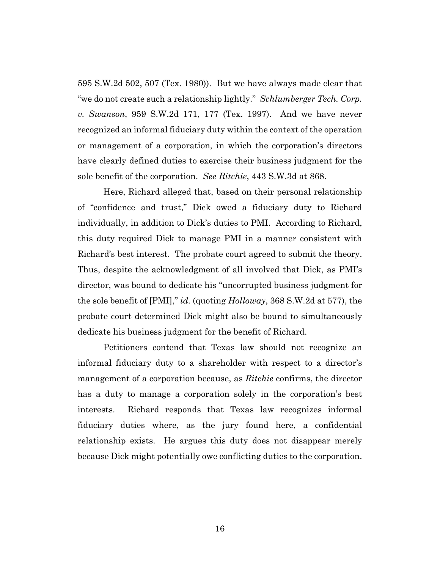595 S.W.2d 502, 507 (Tex. 1980)). But we have always made clear that "we do not create such a relationship lightly." *Schlumberger Tech. Corp. v. Swanson*, 959 S.W.2d 171, 177 (Tex. 1997). And we have never recognized an informal fiduciary duty within the context of the operation or management of a corporation, in which the corporation's directors have clearly defined duties to exercise their business judgment for the sole benefit of the corporation. *See Ritchie*, 443 S.W.3d at 868.

Here, Richard alleged that, based on their personal relationship of "confidence and trust," Dick owed a fiduciary duty to Richard individually, in addition to Dick's duties to PMI. According to Richard, this duty required Dick to manage PMI in a manner consistent with Richard's best interest. The probate court agreed to submit the theory. Thus, despite the acknowledgment of all involved that Dick, as PMI's director, was bound to dedicate his "uncorrupted business judgment for the sole benefit of [PMI]," *id.* (quoting *Holloway*, 368 S.W.2d at 577), the probate court determined Dick might also be bound to simultaneously dedicate his business judgment for the benefit of Richard.

Petitioners contend that Texas law should not recognize an informal fiduciary duty to a shareholder with respect to a director's management of a corporation because, as *Ritchie* confirms, the director has a duty to manage a corporation solely in the corporation's best interests. Richard responds that Texas law recognizes informal fiduciary duties where, as the jury found here, a confidential relationship exists. He argues this duty does not disappear merely because Dick might potentially owe conflicting duties to the corporation.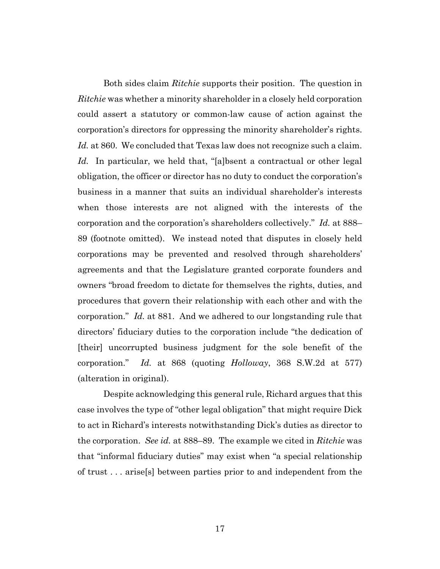Both sides claim *Ritchie* supports their position. The question in *Ritchie* was whether a minority shareholder in a closely held corporation could assert a statutory or common-law cause of action against the corporation's directors for oppressing the minority shareholder's rights. *Id.* at 860. We concluded that Texas law does not recognize such a claim. *Id.* In particular, we held that, "[a]bsent a contractual or other legal obligation, the officer or director has no duty to conduct the corporation's business in a manner that suits an individual shareholder's interests when those interests are not aligned with the interests of the corporation and the corporation's shareholders collectively." *Id.* at 888– 89 (footnote omitted). We instead noted that disputes in closely held corporations may be prevented and resolved through shareholders' agreements and that the Legislature granted corporate founders and owners "broad freedom to dictate for themselves the rights, duties, and procedures that govern their relationship with each other and with the corporation." *Id.* at 881. And we adhered to our longstanding rule that directors' fiduciary duties to the corporation include "the dedication of [their] uncorrupted business judgment for the sole benefit of the corporation." *Id.* at 868 (quoting *Holloway*, 368 S.W.2d at 577) (alteration in original).

Despite acknowledging this general rule, Richard argues that this case involves the type of "other legal obligation" that might require Dick to act in Richard's interests notwithstanding Dick's duties as director to the corporation. *See id.* at 888–89. The example we cited in *Ritchie* was that "informal fiduciary duties" may exist when "a special relationship of trust . . . arise[s] between parties prior to and independent from the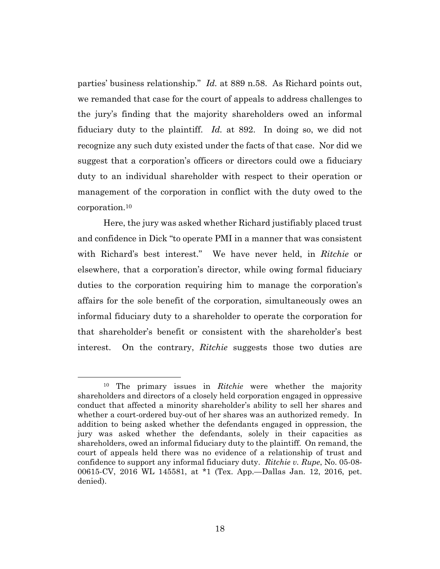parties' business relationship." *Id.* at 889 n.58. As Richard points out, we remanded that case for the court of appeals to address challenges to the jury's finding that the majority shareholders owed an informal fiduciary duty to the plaintiff. *Id.* at 892. In doing so, we did not recognize any such duty existed under the facts of that case. Nor did we suggest that a corporation's officers or directors could owe a fiduciary duty to an individual shareholder with respect to their operation or management of the corporation in conflict with the duty owed to the corporation.10

Here, the jury was asked whether Richard justifiably placed trust and confidence in Dick "to operate PMI in a manner that was consistent with Richard's best interest." We have never held, in *Ritchie* or elsewhere, that a corporation's director, while owing formal fiduciary duties to the corporation requiring him to manage the corporation's affairs for the sole benefit of the corporation, simultaneously owes an informal fiduciary duty to a shareholder to operate the corporation for that shareholder's benefit or consistent with the shareholder's best interest. On the contrary, *Ritchie* suggests those two duties are

<sup>10</sup> The primary issues in *Ritchie* were whether the majority shareholders and directors of a closely held corporation engaged in oppressive conduct that affected a minority shareholder's ability to sell her shares and whether a court-ordered buy-out of her shares was an authorized remedy. In addition to being asked whether the defendants engaged in oppression, the jury was asked whether the defendants, solely in their capacities as shareholders, owed an informal fiduciary duty to the plaintiff. On remand, the court of appeals held there was no evidence of a relationship of trust and confidence to support any informal fiduciary duty. *Ritchie v. Rupe*, No. 05-08- 00615-CV, 2016 WL 145581, at \*1 (Tex. App.—Dallas Jan. 12, 2016, pet. denied).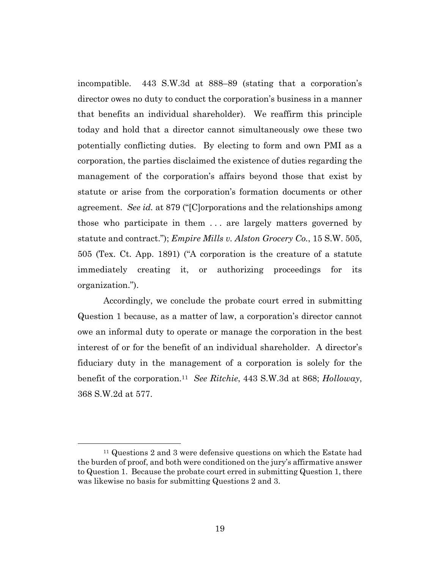incompatible. 443 S.W.3d at 888–89 (stating that a corporation's director owes no duty to conduct the corporation's business in a manner that benefits an individual shareholder). We reaffirm this principle today and hold that a director cannot simultaneously owe these two potentially conflicting duties. By electing to form and own PMI as a corporation, the parties disclaimed the existence of duties regarding the management of the corporation's affairs beyond those that exist by statute or arise from the corporation's formation documents or other agreement. *See id.* at 879 ("[C]orporations and the relationships among those who participate in them . . . are largely matters governed by statute and contract."); *Empire Mills v. Alston Grocery Co.*, 15 S.W. 505, 505 (Tex. Ct. App. 1891) ("A corporation is the creature of a statute immediately creating it, or authorizing proceedings for its organization.").

Accordingly, we conclude the probate court erred in submitting Question 1 because, as a matter of law, a corporation's director cannot owe an informal duty to operate or manage the corporation in the best interest of or for the benefit of an individual shareholder. A director's fiduciary duty in the management of a corporation is solely for the benefit of the corporation.11 *See Ritchie*, 443 S.W.3d at 868; *Holloway*, 368 S.W.2d at 577.

<sup>11</sup> Questions 2 and 3 were defensive questions on which the Estate had the burden of proof, and both were conditioned on the jury's affirmative answer to Question 1. Because the probate court erred in submitting Question 1, there was likewise no basis for submitting Questions 2 and 3.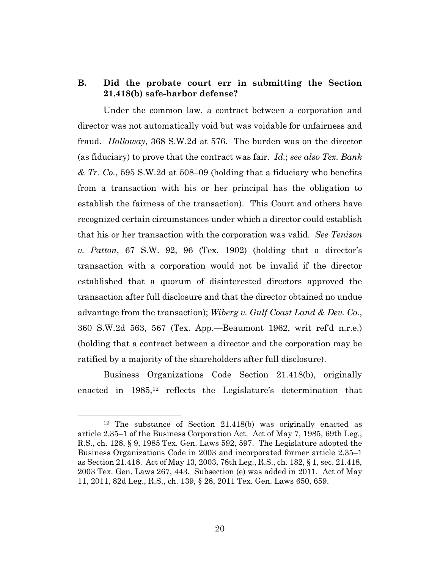## **B. Did the probate court err in submitting the Section 21.418(b) safe-harbor defense?**

Under the common law, a contract between a corporation and director was not automatically void but was voidable for unfairness and fraud. *Holloway*, 368 S.W.2d at 576. The burden was on the director (as fiduciary) to prove that the contract was fair. *Id.*; *see also Tex. Bank & Tr. Co.*, 595 S.W.2d at 508–09 (holding that a fiduciary who benefits from a transaction with his or her principal has the obligation to establish the fairness of the transaction). This Court and others have recognized certain circumstances under which a director could establish that his or her transaction with the corporation was valid. *See Tenison v. Patton*, 67 S.W. 92, 96 (Tex. 1902) (holding that a director's transaction with a corporation would not be invalid if the director established that a quorum of disinterested directors approved the transaction after full disclosure and that the director obtained no undue advantage from the transaction); *Wiberg v. Gulf Coast Land & Dev. Co.*, 360 S.W.2d 563, 567 (Tex. App.—Beaumont 1962, writ ref'd n.r.e.) (holding that a contract between a director and the corporation may be ratified by a majority of the shareholders after full disclosure).

Business Organizations Code Section 21.418(b), originally enacted in 1985,<sup>12</sup> reflects the Legislature's determination that

<sup>12</sup> The substance of Section 21.418(b) was originally enacted as article 2.35–1 of the Business Corporation Act. Act of May 7, 1985, 69th Leg., R.S., ch. 128, § 9, 1985 Tex. Gen. Laws 592, 597. The Legislature adopted the Business Organizations Code in 2003 and incorporated former article 2.35–1 as Section 21.418. Act of May 13, 2003, 78th Leg., R.S., ch. 182, § 1, sec. 21.418, 2003 Tex. Gen. Laws 267, 443. Subsection (e) was added in 2011. Act of May 11, 2011, 82d Leg., R.S., ch. 139, § 28, 2011 Tex. Gen. Laws 650, 659.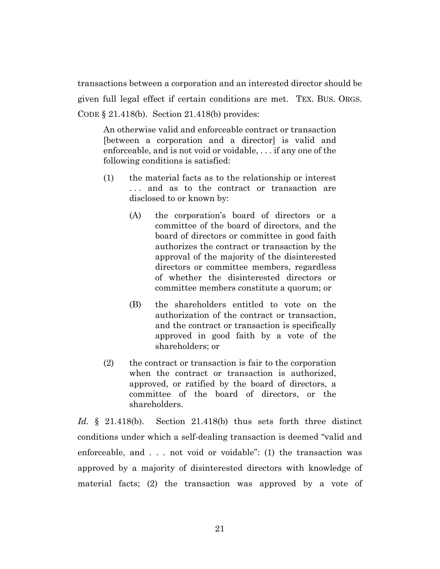transactions between a corporation and an interested director should be

given full legal effect if certain conditions are met. TEX. BUS. ORGS.

CODE § 21.418(b). Section 21.418(b) provides:

An otherwise valid and enforceable contract or transaction [between a corporation and a director] is valid and enforceable, and is not void or voidable, . . . if any one of the following conditions is satisfied:

- (1) the material facts as to the relationship or interest . . . and as to the contract or transaction are disclosed to or known by:
	- (A) the corporation's board of directors or a committee of the board of directors, and the board of directors or committee in good faith authorizes the contract or transaction by the approval of the majority of the disinterested directors or committee members, regardless of whether the disinterested directors or committee members constitute a quorum; or
	- (B) the shareholders entitled to vote on the authorization of the contract or transaction, and the contract or transaction is specifically approved in good faith by a vote of the shareholders; or
- (2) the contract or transaction is fair to the corporation when the contract or transaction is authorized, approved, or ratified by the board of directors, a committee of the board of directors, or the shareholders.

*Id.* § 21.418(b). Section 21.418(b) thus sets forth three distinct conditions under which a self-dealing transaction is deemed "valid and enforceable, and . . . not void or voidable": (1) the transaction was approved by a majority of disinterested directors with knowledge of material facts; (2) the transaction was approved by a vote of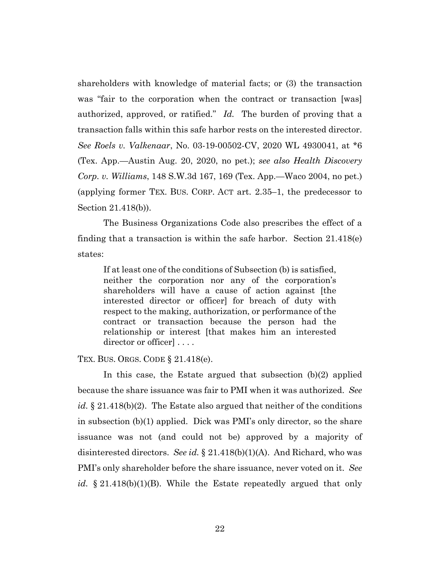shareholders with knowledge of material facts; or (3) the transaction was "fair to the corporation when the contract or transaction [was] authorized, approved, or ratified." *Id.* The burden of proving that a transaction falls within this safe harbor rests on the interested director. *See Roels v. Valkenaar*, No. 03-19-00502-CV, 2020 WL 4930041, at \*6 (Tex. App.—Austin Aug. 20, 2020, no pet.); *see also Health Discovery Corp. v. Williams*, 148 S.W.3d 167, 169 (Tex. App.—Waco 2004, no pet.) (applying former TEX. BUS. CORP. ACT art. 2.35–1, the predecessor to Section 21.418(b)).

The Business Organizations Code also prescribes the effect of a finding that a transaction is within the safe harbor. Section 21.418(e) states:

If at least one of the conditions of Subsection (b) is satisfied, neither the corporation nor any of the corporation's shareholders will have a cause of action against [the interested director or officer] for breach of duty with respect to the making, authorization, or performance of the contract or transaction because the person had the relationship or interest [that makes him an interested director or officer  $\cdots$ 

TEX. BUS. ORGS. CODE § 21.418(e).

In this case, the Estate argued that subsection (b)(2) applied because the share issuance was fair to PMI when it was authorized. *See id.* § 21.418(b)(2). The Estate also argued that neither of the conditions in subsection (b)(1) applied. Dick was PMI's only director, so the share issuance was not (and could not be) approved by a majority of disinterested directors. *See id.* § 21.418(b)(1)(A). And Richard, who was PMI's only shareholder before the share issuance, never voted on it. *See id.* § 21.418(b)(1)(B). While the Estate repeatedly argued that only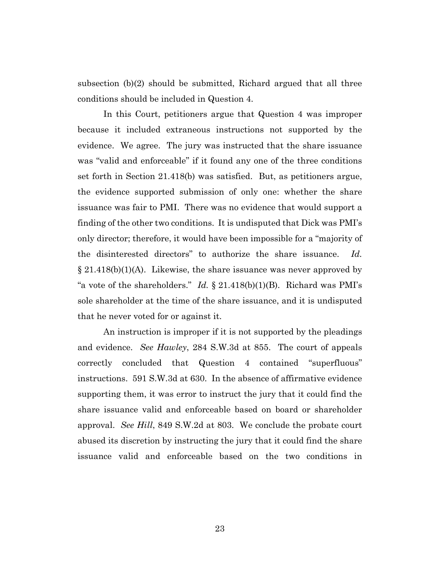subsection (b)(2) should be submitted, Richard argued that all three conditions should be included in Question 4.

In this Court, petitioners argue that Question 4 was improper because it included extraneous instructions not supported by the evidence. We agree. The jury was instructed that the share issuance was "valid and enforceable" if it found any one of the three conditions set forth in Section 21.418(b) was satisfied. But, as petitioners argue, the evidence supported submission of only one: whether the share issuance was fair to PMI. There was no evidence that would support a finding of the other two conditions. It is undisputed that Dick was PMI's only director; therefore, it would have been impossible for a "majority of the disinterested directors" to authorize the share issuance. *Id.*  $\S 21.418(b)(1)(A)$ . Likewise, the share issuance was never approved by "a vote of the shareholders." *Id.* § 21.418(b)(1)(B). Richard was PMI's sole shareholder at the time of the share issuance, and it is undisputed that he never voted for or against it.

An instruction is improper if it is not supported by the pleadings and evidence. *See Hawley*, 284 S.W.3d at 855. The court of appeals correctly concluded that Question 4 contained "superfluous" instructions. 591 S.W.3d at 630. In the absence of affirmative evidence supporting them, it was error to instruct the jury that it could find the share issuance valid and enforceable based on board or shareholder approval. *See Hill*, 849 S.W.2d at 803. We conclude the probate court abused its discretion by instructing the jury that it could find the share issuance valid and enforceable based on the two conditions in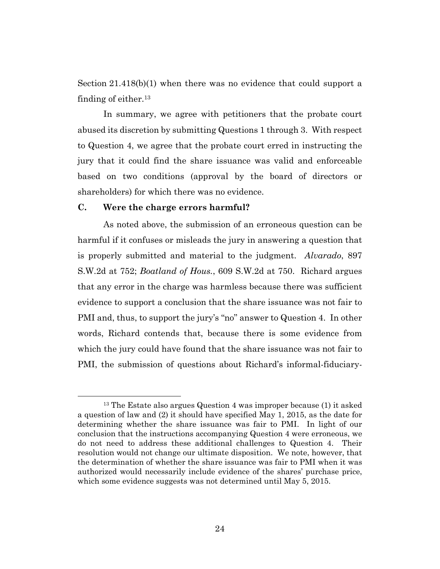Section 21.418(b)(1) when there was no evidence that could support a finding of either.13

In summary, we agree with petitioners that the probate court abused its discretion by submitting Questions 1 through 3. With respect to Question 4, we agree that the probate court erred in instructing the jury that it could find the share issuance was valid and enforceable based on two conditions (approval by the board of directors or shareholders) for which there was no evidence.

### **C. Were the charge errors harmful?**

As noted above, the submission of an erroneous question can be harmful if it confuses or misleads the jury in answering a question that is properly submitted and material to the judgment. *Alvarado*, 897 S.W.2d at 752; *Boatland of Hous.*, 609 S.W.2d at 750. Richard argues that any error in the charge was harmless because there was sufficient evidence to support a conclusion that the share issuance was not fair to PMI and, thus, to support the jury's "no" answer to Question 4. In other words, Richard contends that, because there is some evidence from which the jury could have found that the share issuance was not fair to PMI, the submission of questions about Richard's informal-fiduciary-

<sup>13</sup> The Estate also argues Question 4 was improper because (1) it asked a question of law and (2) it should have specified May 1, 2015, as the date for determining whether the share issuance was fair to PMI. In light of our conclusion that the instructions accompanying Question 4 were erroneous, we do not need to address these additional challenges to Question 4. Their resolution would not change our ultimate disposition. We note, however, that the determination of whether the share issuance was fair to PMI when it was authorized would necessarily include evidence of the shares' purchase price, which some evidence suggests was not determined until May 5, 2015.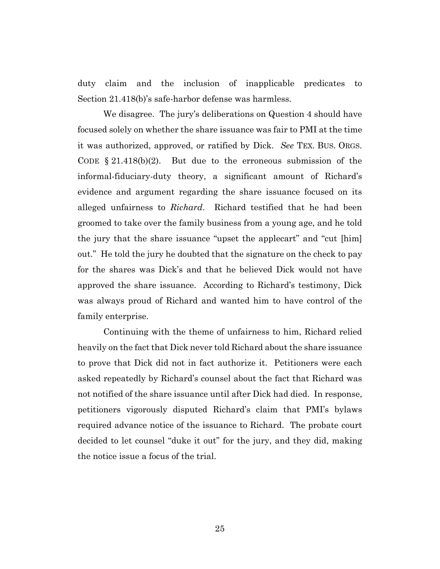duty claim and the inclusion of inapplicable predicates to Section 21.418(b)'s safe-harbor defense was harmless.

We disagree. The jury's deliberations on Question 4 should have focused solely on whether the share issuance was fair to PMI at the time it was authorized, approved, or ratified by Dick. *See* TEX. BUS. ORGS. CODE  $\S 21.418(b)(2)$ . But due to the erroneous submission of the informal-fiduciary-duty theory, a significant amount of Richard's evidence and argument regarding the share issuance focused on its alleged unfairness to *Richard*. Richard testified that he had been groomed to take over the family business from a young age, and he told the jury that the share issuance "upset the applecart" and "cut [him] out." He told the jury he doubted that the signature on the check to pay for the shares was Dick's and that he believed Dick would not have approved the share issuance. According to Richard's testimony, Dick was always proud of Richard and wanted him to have control of the family enterprise.

Continuing with the theme of unfairness to him, Richard relied heavily on the fact that Dick never told Richard about the share issuance to prove that Dick did not in fact authorize it. Petitioners were each asked repeatedly by Richard's counsel about the fact that Richard was not notified of the share issuance until after Dick had died. In response, petitioners vigorously disputed Richard's claim that PMI's bylaws required advance notice of the issuance to Richard. The probate court decided to let counsel "duke it out" for the jury, and they did, making the notice issue a focus of the trial.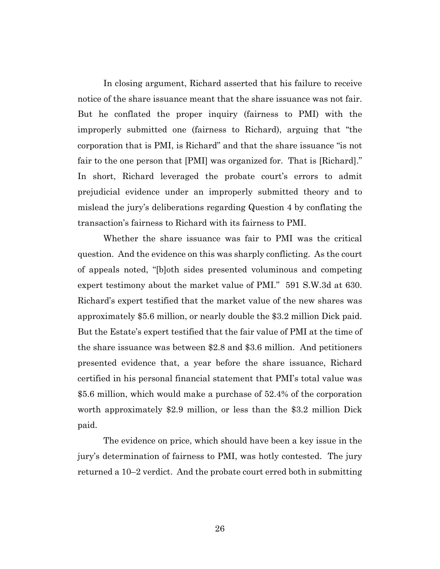In closing argument, Richard asserted that his failure to receive notice of the share issuance meant that the share issuance was not fair. But he conflated the proper inquiry (fairness to PMI) with the improperly submitted one (fairness to Richard), arguing that "the corporation that is PMI, is Richard" and that the share issuance "is not fair to the one person that [PMI] was organized for. That is [Richard]." In short, Richard leveraged the probate court's errors to admit prejudicial evidence under an improperly submitted theory and to mislead the jury's deliberations regarding Question 4 by conflating the transaction's fairness to Richard with its fairness to PMI.

Whether the share issuance was fair to PMI was the critical question. And the evidence on this was sharply conflicting. As the court of appeals noted, "[b]oth sides presented voluminous and competing expert testimony about the market value of PMI." 591 S.W.3d at 630. Richard's expert testified that the market value of the new shares was approximately \$5.6 million, or nearly double the \$3.2 million Dick paid. But the Estate's expert testified that the fair value of PMI at the time of the share issuance was between \$2.8 and \$3.6 million. And petitioners presented evidence that, a year before the share issuance, Richard certified in his personal financial statement that PMI's total value was \$5.6 million, which would make a purchase of 52.4% of the corporation worth approximately \$2.9 million, or less than the \$3.2 million Dick paid.

The evidence on price, which should have been a key issue in the jury's determination of fairness to PMI, was hotly contested. The jury returned a 10–2 verdict. And the probate court erred both in submitting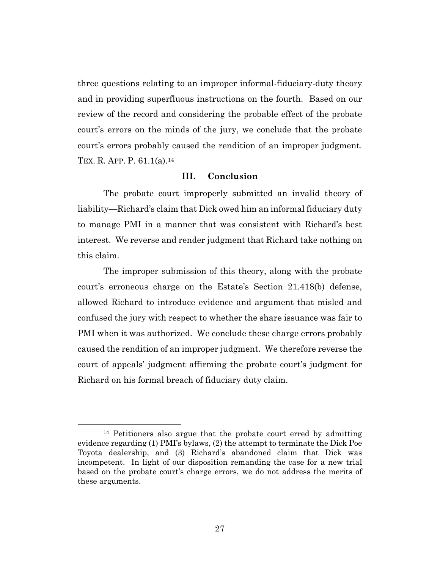three questions relating to an improper informal-fiduciary-duty theory and in providing superfluous instructions on the fourth. Based on our review of the record and considering the probable effect of the probate court's errors on the minds of the jury, we conclude that the probate court's errors probably caused the rendition of an improper judgment. TEX. R. APP. P. 61.1(a).14

### **III. Conclusion**

The probate court improperly submitted an invalid theory of liability—Richard's claim that Dick owed him an informal fiduciary duty to manage PMI in a manner that was consistent with Richard's best interest. We reverse and render judgment that Richard take nothing on this claim.

The improper submission of this theory, along with the probate court's erroneous charge on the Estate's Section 21.418(b) defense, allowed Richard to introduce evidence and argument that misled and confused the jury with respect to whether the share issuance was fair to PMI when it was authorized. We conclude these charge errors probably caused the rendition of an improper judgment. We therefore reverse the court of appeals' judgment affirming the probate court's judgment for Richard on his formal breach of fiduciary duty claim.

<sup>14</sup> Petitioners also argue that the probate court erred by admitting evidence regarding (1) PMI's bylaws, (2) the attempt to terminate the Dick Poe Toyota dealership, and (3) Richard's abandoned claim that Dick was incompetent. In light of our disposition remanding the case for a new trial based on the probate court's charge errors, we do not address the merits of these arguments.